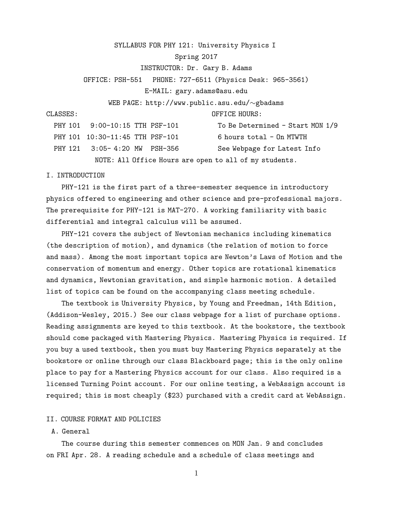SYLLABUS FOR PHY 121: University Physics I

## Spring 2017

## INSTRUCTOR: Dr. Gary B. Adams

OFFICE: PSH-551 PHONE: 727-6511 (Physics Desk: 965-3561)

E-MAIL: gary.adams@asu.edu

WEB PAGE: http://www.public.asu.edu/∼gbadams

CLASSES: OFFICE HOURS:

|                                                        | PHY 101 9:00-10:15 TTH PSF-101  |  | To Be Determined - Start MON 1/9 |
|--------------------------------------------------------|---------------------------------|--|----------------------------------|
|                                                        | PHY 101 10:30-11:45 TTH PSF-101 |  | 6 hours total - On MTWTH         |
|                                                        | PHY 121 3:05-4:20 MW PSH-356    |  | See Webpage for Latest Info      |
| NOTE: All Office Hours are open to all of my students. |                                 |  |                                  |

## I. INTRODUCTION

PHY-121 is the first part of a three-semester sequence in introductory physics offered to engineering and other science and pre-professional majors. The prerequisite for PHY-121 is MAT-270. A working familiarity with basic differential and integral calculus will be assumed.

PHY-121 covers the subject of Newtonian mechanics including kinematics (the description of motion), and dynamics (the relation of motion to force and mass). Among the most important topics are Newton's Laws of Motion and the conservation of momentum and energy. Other topics are rotational kinematics and dynamics, Newtonian gravitation, and simple harmonic motion. A detailed list of topics can be found on the accompanying class meeting schedule.

The textbook is University Physics, by Young and Freedman, 14th Edition, (Addison-Wesley, 2015.) See our class webpage for a list of purchase options. Reading assignments are keyed to this textbook. At the bookstore, the textbook should come packaged with Mastering Physics. Mastering Physics is required. If you buy a used textbook, then you must buy Mastering Physics separately at the bookstore or online through our class Blackboard page; this is the only online place to pay for a Mastering Physics account for our class. Also required is a licensed Turning Point account. For our online testing, a WebAssign account is required; this is most cheaply (\$23) purchased with a credit card at WebAssign.

# II. COURSE FORMAT AND POLICIES

## A. General

The course during this semester commences on MON Jan. 9 and concludes on FRI Apr. 28. A reading schedule and a schedule of class meetings and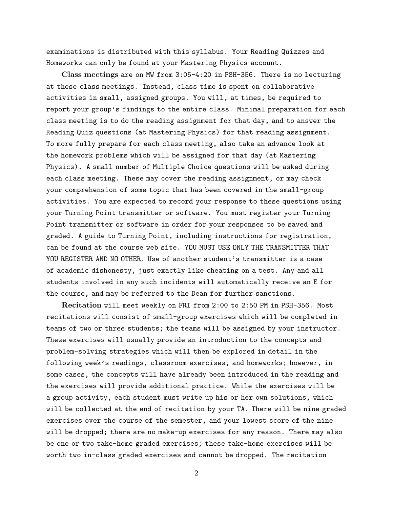examinations is distributed with this syllabus. Your Reading Quizzes and Homeworks can only be found at your Mastering Physics account.

Class meetings are on MW from 3:05-4:20 in PSH-356. There is no lecturing at these class meetings. Instead, class time is spent on collaborative activities in small, assigned groups. You will, at times, be required to report your group's findings to the entire class. Minimal preparation for each class meeting is to do the reading assignment for that day, and to answer the Reading Quiz questions (at Mastering Physics) for that reading assignment. To more fully prepare for each class meeting, also take an advance look at the homework problems which will be assigned for that day (at Mastering Physics). A small number of Multiple Choice questions will be asked during each class meeting. These may cover the reading assignment, or may check your comprehension of some topic that has been covered in the small-group activities. You are expected to record your response to these questions using your Turning Point transmitter or software. You must register your Turning Point transmitter or software in order for your responses to be saved and graded. A guide to Turning Point, including instructions for registration, can be found at the course web site. YOU MUST USE ONLY THE TRANSMITTER THAT YOU REGISTER AND NO OTHER. Use of another student's transmitter is a case of academic dishonesty, just exactly like cheating on a test. Any and all students involved in any such incidents will automatically receive an E for the course, and may be referred to the Dean for further sanctions.

Recitation will meet weekly on FRI from 2:00 to 2:50 PM in PSH-356. Most recitations will consist of small-group exercises which will be completed in teams of two or three students; the teams will be assigned by your instructor. These exercises will usually provide an introduction to the concepts and problem-solving strategies which will then be explored in detail in the following week's readings, classroom exercises, and homeworks; however, in some cases, the concepts will have already been introduced in the reading and the exercises will provide additional practice. While the exercises will be a group activity, each student must write up his or her own solutions, which will be collected at the end of recitation by your TA. There will be nine graded exercises over the course of the semester, and your lowest score of the nine will be dropped; there are no make-up exercises for any reason. There may also be one or two take-home graded exercises; these take-home exercises will be worth two in-class graded exercises and cannot be dropped. The recitation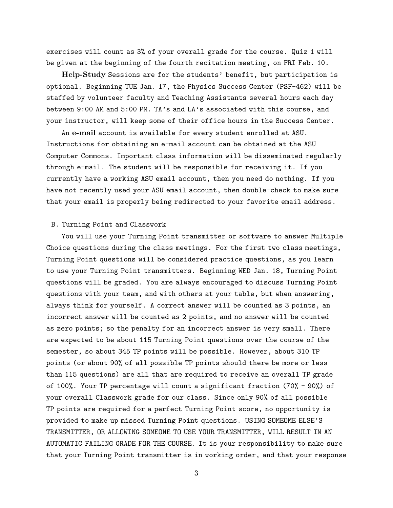exercises will count as 3% of your overall grade for the course. Quiz 1 will be given at the beginning of the fourth recitation meeting, on FRI Feb. 10.

Help-Study Sessions are for the students' benefit, but participation is optional. Beginning TUE Jan. 17, the Physics Success Center (PSF-462) will be staffed by volunteer faculty and Teaching Assistants several hours each day between 9:00 AM and 5:00 PM. TA's and LA's associated with this course, and your instructor, will keep some of their office hours in the Success Center.

An e-mail account is available for every student enrolled at ASU. Instructions for obtaining an e-mail account can be obtained at the ASU Computer Commons. Important class information will be disseminated regularly through e-mail. The student will be responsible for receiving it. If you currently have a working ASU email account, then you need do nothing. If you have not recently used your ASU email account, then double-check to make sure that your email is properly being redirected to your favorite email address.

## B. Turning Point and Classwork

You will use your Turning Point transmitter or software to answer Multiple Choice questions during the class meetings. For the first two class meetings, Turning Point questions will be considered practice questions, as you learn to use your Turning Point transmitters. Beginning WED Jan. 18, Turning Point questions will be graded. You are always encouraged to discuss Turning Point questions with your team, and with others at your table, but when answering, always think for yourself. A correct answer will be counted as 3 points, an incorrect answer will be counted as 2 points, and no answer will be counted as zero points; so the penalty for an incorrect answer is very small. There are expected to be about 115 Turning Point questions over the course of the semester, so about 345 TP points will be possible. However, about 310 TP points (or about 90% of all possible TP points should there be more or less than 115 questions) are all that are required to receive an overall TP grade of 100%. Your TP percentage will count a significant fraction (70% - 90%) of your overall Classwork grade for our class. Since only 90% of all possible TP points are required for a perfect Turning Point score, no opportunity is provided to make up missed Turning Point questions. USING SOMEOME ELSE'S TRANSMITTER, OR ALLOWING SOMEONE TO USE YOUR TRANSMITTER, WILL RESULT IN AN AUTOMATIC FAILING GRADE FOR THE COURSE. It is your responsibility to make sure that your Turning Point transmitter is in working order, and that your response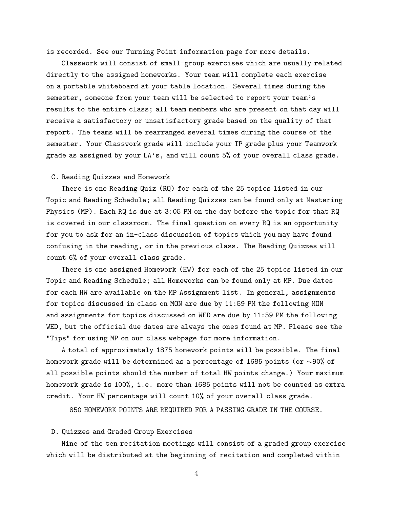is recorded. See our Turning Point information page for more details.

Classwork will consist of small-group exercises which are usually related directly to the assigned homeworks. Your team will complete each exercise on a portable whiteboard at your table location. Several times during the semester, someone from your team will be selected to report your team's results to the entire class; all team members who are present on that day will receive a satisfactory or unsatisfactory grade based on the quality of that report. The teams will be rearranged several times during the course of the semester. Your Classwork grade will include your TP grade plus your Teamwork grade as assigned by your LA's, and will count 5% of your overall class grade.

## C. Reading Quizzes and Homework

There is one Reading Quiz (RQ) for each of the 25 topics listed in our Topic and Reading Schedule; all Reading Quizzes can be found only at Mastering Physics (MP). Each RQ is due at 3:05 PM on the day before the topic for that RQ is covered in our classroom. The final question on every RQ is an opportunity for you to ask for an in-class discussion of topics which you may have found confusing in the reading, or in the previous class. The Reading Quizzes will count 6% of your overall class grade.

There is one assigned Homework (HW) for each of the 25 topics listed in our Topic and Reading Schedule; all Homeworks can be found only at MP. Due dates for each HW are available on the MP Assignment list. In general, assignments for topics discussed in class on MON are due by 11:59 PM the following MON and assignments for topics discussed on WED are due by 11:59 PM the following WED, but the official due dates are always the ones found at MP. Please see the "Tips" for using MP on our class webpage for more information.

A total of approximately 1875 homework points will be possible. The final homework grade will be determined as a percentage of 1685 points (or ∼90% of all possible points should the number of total HW points change.) Your maximum homework grade is 100%, i.e. more than 1685 points will not be counted as extra credit. Your HW percentage will count 10% of your overall class grade.

850 HOMEWORK POINTS ARE REQUIRED FOR A PASSING GRADE IN THE COURSE.

## D. Quizzes and Graded Group Exercises

Nine of the ten recitation meetings will consist of a graded group exercise which will be distributed at the beginning of recitation and completed within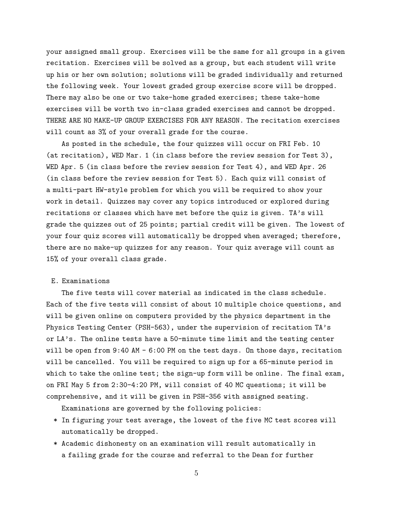your assigned small group. Exercises will be the same for all groups in a given recitation. Exercises will be solved as a group, but each student will write up his or her own solution; solutions will be graded individually and returned the following week. Your lowest graded group exercise score will be dropped. There may also be one or two take-home graded exercises; these take-home exercises will be worth two in-class graded exercises and cannot be dropped. THERE ARE NO MAKE-UP GROUP EXERCISES FOR ANY REASON. The recitation exercises will count as 3% of your overall grade for the course.

As posted in the schedule, the four quizzes will occur on FRI Feb. 10 (at recitation), WED Mar. 1 (in class before the review session for Test 3), WED Apr. 5 (in class before the review session for Test 4), and WED Apr. 26 (in class before the review session for Test 5). Each quiz will consist of a multi-part HW-style problem for which you will be required to show your work in detail. Quizzes may cover any topics introduced or explored during recitations or classes which have met before the quiz is given. TA's will grade the quizzes out of 25 points; partial credit will be given. The lowest of your four quiz scores will automatically be dropped when averaged; therefore, there are no make-up quizzes for any reason. Your quiz average will count as 15% of your overall class grade.

### E. Examinations

The five tests will cover material as indicated in the class schedule. Each of the five tests will consist of about 10 multiple choice questions, and will be given online on computers provided by the physics department in the Physics Testing Center (PSH-563), under the supervision of recitation TA's or LA's. The online tests have a 50-minute time limit and the testing center will be open from 9:40 AM - 6:00 PM on the test days. On those days, recitation will be cancelled. You will be required to sign up for a 65-minute period in which to take the online test; the sign-up form will be online. The final exam, on FRI May 5 from 2:30-4:20 PM, will consist of 40 MC questions; it will be comprehensive, and it will be given in PSH-356 with assigned seating.

Examinations are governed by the following policies:

- \* In figuring your test average, the lowest of the five MC test scores will automatically be dropped.
- \* Academic dishonesty on an examination will result automatically in a failing grade for the course and referral to the Dean for further